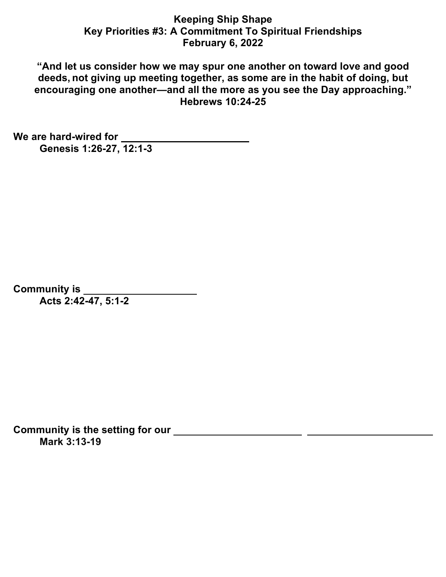## **Keeping Ship Shape Key Priorities #3: A Commitment To Spiritual Friendships February 6, 2022**

**"And let us consider how we may spur one another on toward love and good deeds, not giving up meeting together, as some are in the habit of doing, but encouraging one another—and all the more as you see the Day approaching." Hebrews 10:24-25**

**We are hard-wired for Genesis 1:26-27, 12:1-3**

**Community is Acts 2:42-47, 5:1-2**

**Community is the setting for our Mark 3:13-19**